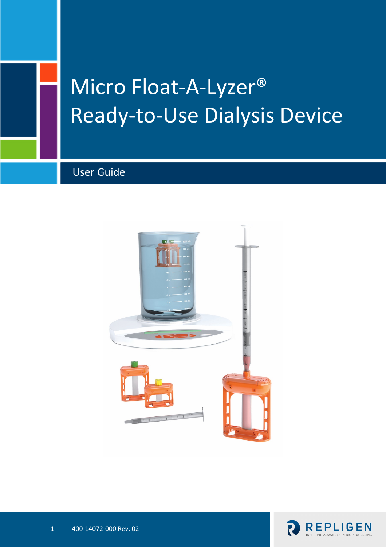

# Micro Float-A-Lyzer® Ready-to-Use Dialysis Device

User Guide



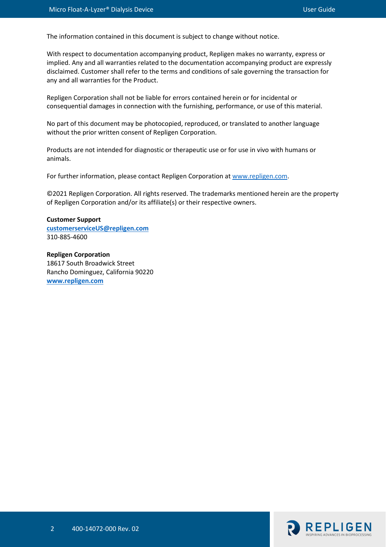The information contained in this document is subject to change without notice.

With respect to documentation accompanying product, Repligen makes no warranty, express or implied. Any and all warranties related to the documentation accompanying product are expressly disclaimed. Customer shall refer to the terms and conditions of sale governing the transaction for any and all warranties for the Product.

Repligen Corporation shall not be liable for errors contained herein or for incidental or consequential damages in connection with the furnishing, performance, or use of this material.

No part of this document may be photocopied, reproduced, or translated to another language without the prior written consent of Repligen Corporation.

Products are not intended for diagnostic or therapeutic use or for use in vivo with humans or animals.

For further information, please contact Repligen Corporation at [www.repligen.com.](http://www.repligen.com/)

©2021 Repligen Corporation. All rights reserved. The trademarks mentioned herein are the property of Repligen Corporation and/or its affiliate(s) or their respective owners.

#### **Customer Support [customerserviceUS@repligen.com](mailto:customerserviceUS@repligen.com)** 310-885-4600

**Repligen Corporation** 18617 South Broadwick Street Rancho Dominguez, California 90220 **www.repligen.com**

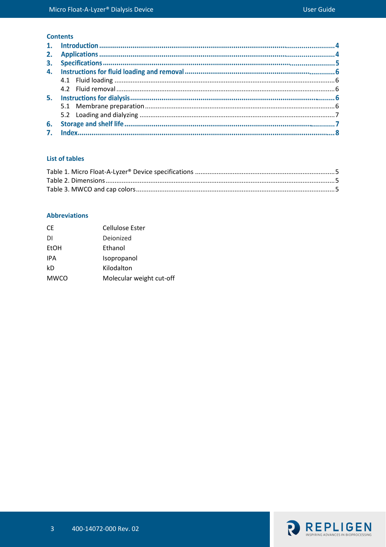# **Contents**

#### **List of tables**

#### **Abbreviations**

| CE.         | Cellulose Ester          |
|-------------|--------------------------|
| DI          | Dejonized                |
| <b>EtOH</b> | Ethanol                  |
| <b>IPA</b>  | Isopropanol              |
| kD          | Kilodalton               |
| <b>MWCO</b> | Molecular weight cut-off |

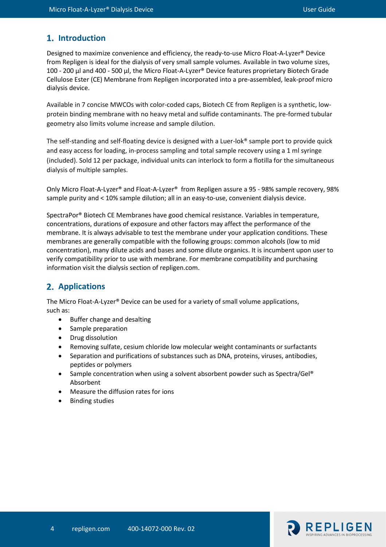# 1. Introduction

Designed to maximize convenience and efficiency, the ready-to-use Micro Float-A-Lyzer® Device from Repligen is ideal for the dialysis of very small sample volumes. Available in two volume sizes, 100 - 200 μl and 400 - 500 μl, the Micro Float-A-Lyzer® Device features proprietary Biotech Grade Cellulose Ester (CE) Membrane from Repligen incorporated into a pre-assembled, leak-proof micro dialysis device.

Available in 7 concise MWCOs with color-coded caps, Biotech CE from Repligen is a synthetic, lowprotein binding membrane with no heavy metal and sulfide contaminants. The pre-formed tubular geometry also limits volume increase and sample dilution.

The self-standing and self-floating device is designed with a Luer-lok® sample port to provide quick and easy access for loading, in-process sampling and total sample recovery using a 1 ml syringe (included). Sold 12 per package, individual units can interlock to form a flotilla for the simultaneous dialysis of multiple samples.

Only Micro Float-A-Lyzer® and Float-A-Lyzer® from Repligen assure a 95 - 98% sample recovery, 98% sample purity and < 10% sample dilution; all in an easy-to-use, convenient dialysis device.

SpectraPor® Biotech CE Membranes have good chemical resistance. Variables in temperature, concentrations, durations of exposure and other factors may affect the performance of the membrane. It is always advisable to test the membrane under your application conditions. These membranes are generally compatible with the following groups: common alcohols (low to mid concentration), many dilute acids and bases and some dilute organics. It is incumbent upon user to verify compatibility prior to use with membrane. For membrane compatibility and purchasing information visit the dialysis section of repligen.com.

# **Applications**

The Micro Float-A-Lyzer® Device can be used for a variety of small volume applications, such as:

- Buffer change and desalting
- Sample preparation
- Drug dissolution
- Removing sulfate, cesium chloride low molecular weight contaminants or surfactants
- Separation and purifications of substances such as DNA, proteins, viruses, antibodies, peptides or polymers
- Sample concentration when using a solvent absorbent powder such as Spectra/Gel® Absorbent
- Measure the diffusion rates for ions
- Binding studies

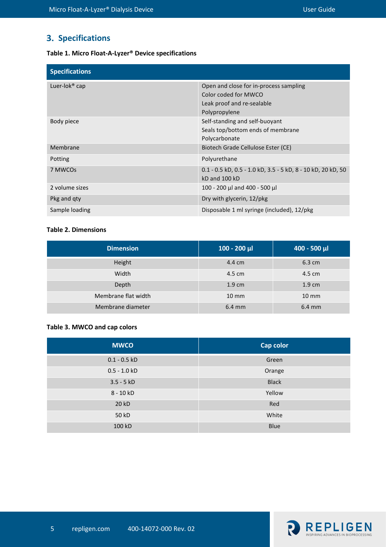# **3. Specifications**

#### <span id="page-4-0"></span>**Table 1. Micro Float-A-Lyzer® Device specifications**

| <b>Specifications</b>     |                                                                                                               |
|---------------------------|---------------------------------------------------------------------------------------------------------------|
| Luer-lok <sup>®</sup> cap | Open and close for in-process sampling<br>Color coded for MWCO<br>Leak proof and re-sealable<br>Polypropylene |
| Body piece                | Self-standing and self-buoyant<br>Seals top/bottom ends of membrane<br>Polycarbonate                          |
| Membrane                  | Biotech Grade Cellulose Ester (CE)                                                                            |
| Potting                   | Polyurethane                                                                                                  |
| 7 MWCOs                   | 0.1 - 0.5 kD, 0.5 - 1.0 kD, 3.5 - 5 kD, 8 - 10 kD, 20 kD, 50<br>kD and 100 kD                                 |
| 2 volume sizes            | 100 - 200 μl and 400 - 500 μl                                                                                 |
| Pkg and gty               | Dry with glycerin, 12/pkg                                                                                     |
| Sample loading            | Disposable 1 ml syringe (included), 12/pkg                                                                    |

#### <span id="page-4-1"></span>**Table 2. Dimensions**

| <b>Dimension</b>    | $100 - 200$ µl    | $400 - 500$ µl   |
|---------------------|-------------------|------------------|
| Height              | 4.4 cm            | $6.3 \text{ cm}$ |
| Width               | 4.5 cm            | 4.5 cm           |
| Depth               | $1.9 \text{ cm}$  | $1.9 \text{ cm}$ |
| Membrane flat width | $10 \, \text{mm}$ | $10 \text{ mm}$  |
| Membrane diameter   | $6.4 \text{ mm}$  | $6.4 \text{ mm}$ |

# <span id="page-4-2"></span>**Table 3. MWCO and cap colors**

| <b>MWCO</b>    | <b>Cap color</b> |
|----------------|------------------|
| $0.1 - 0.5$ kD | Green            |
| $0.5 - 1.0 kD$ | Orange           |
| $3.5 - 5 kD$   | <b>Black</b>     |
| $8 - 10 kD$    | Yellow           |
| 20 kD          | Red              |
| 50 kD          | White            |
| 100 kD         | <b>Blue</b>      |

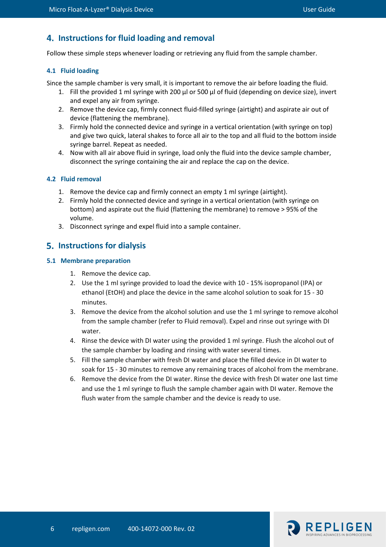# **Instructions for fluid loading and removal**

Follow these simple steps whenever loading or retrieving any fluid from the sample chamber.

## <span id="page-5-0"></span>**4.1 Fluid loading**

Since the sample chamber is very small, it is important to remove the air before loading the fluid.

- 1. Fill the provided 1 ml syringe with 200 μl or 500 μl of fluid (depending on device size), invert and expel any air from syringe.
- 2. Remove the device cap, firmly connect fluid-filled syringe (airtight) and aspirate air out of device (flattening the membrane).
- 3. Firmly hold the connected device and syringe in a vertical orientation (with syringe on top) and give two quick, lateral shakes to force all air to the top and all fluid to the bottom inside syringe barrel. Repeat as needed.
- 4. Now with all air above fluid in syringe, load only the fluid into the device sample chamber, disconnect the syringe containing the air and replace the cap on the device.

### <span id="page-5-1"></span>**4.2 Fluid removal**

- 1. Remove the device cap and firmly connect an empty 1 ml syringe (airtight).
- 2. Firmly hold the connected device and syringe in a vertical orientation (with syringe on bottom) and aspirate out the fluid (flattening the membrane) to remove > 95% of the volume.
- 3. Disconnect syringe and expel fluid into a sample container.

# **Instructions for dialysis**

### <span id="page-5-2"></span>**5.1 Membrane preparation**

- 1. Remove the device cap.
- 2. Use the 1 ml syringe provided to load the device with 10 15% isopropanol (IPA) or ethanol (EtOH) and place the device in the same alcohol solution to soak for 15 - 30 minutes.
- 3. Remove the device from the alcohol solution and use the 1 ml syringe to remove alcohol from the sample chamber (refer to Fluid removal). Expel and rinse out syringe with DI water.
- 4. Rinse the device with DI water using the provided 1 ml syringe. Flush the alcohol out of the sample chamber by loading and rinsing with water several times.
- 5. Fill the sample chamber with fresh DI water and place the filled device in DI water to soak for 15 - 30 minutes to remove any remaining traces of alcohol from the membrane.
- 6. Remove the device from the DI water. Rinse the device with fresh DI water one last time and use the 1 ml syringe to flush the sample chamber again with DI water. Remove the flush water from the sample chamber and the device is ready to use.

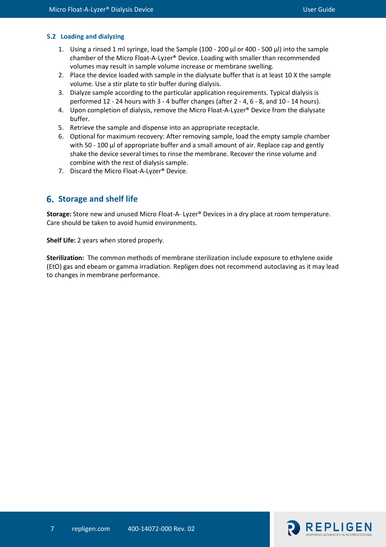#### <span id="page-6-0"></span>**5.2 Loading and dialyzing**

- 1. Using a rinsed 1 ml syringe, load the Sample (100 200 μl or 400 500 μl) into the sample chamber of the Micro Float-A-Lyzer® Device. Loading with smaller than recommended volumes may result in sample volume increase or membrane swelling.
- 2. Place the device loaded with sample in the dialysate buffer that is at least 10 X the sample volume. Use a stir plate to stir buffer during dialysis.
- 3. Dialyze sample according to the particular application requirements. Typical dialysis is performed 12 - 24 hours with 3 - 4 buffer changes (after 2 - 4, 6 - 8, and 10 - 14 hours).
- 4. Upon completion of dialysis, remove the Micro Float-A-Lyzer® Device from the dialysate buffer.
- 5. Retrieve the sample and dispense into an appropriate receptacle.
- 6. Optional for maximum recovery: After removing sample, load the empty sample chamber with 50 - 100 μl of appropriate buffer and a small amount of air. Replace cap and gently shake the device several times to rinse the membrane. Recover the rinse volume and combine with the rest of dialysis sample.
- 7. Discard the Micro Float-A-Lyzer® Device.

# **Storage and shelf life**

**Storage:** Store new and unused Micro Float-A- Lyzer® Devices in a dry place at room temperature. Care should be taken to avoid humid environments.

**Shelf Life:** 2 years when stored properly.

**Sterilization:** The common methods of membrane sterilization include exposure to ethylene oxide (EtO) gas and ebeam or gamma irradiation. Repligen does not recommend autoclaving as it may lead to changes in membrane performance.